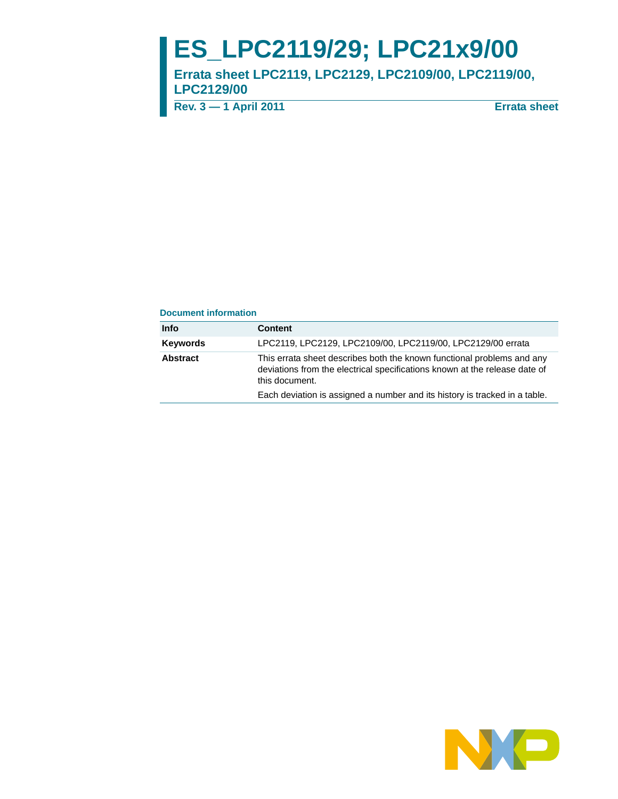# **ES\_LPC2119/29; LPC21x9/00**

**Errata sheet LPC2119, LPC2129, LPC2109/00, LPC2119/00, LPC2129/00**

**Rev. 3 — 1 April 2011 Errata sheet**

#### **Document information**

| This errata sheet describes both the known functional problems and any<br>deviations from the electrical specifications known at the release date of |
|------------------------------------------------------------------------------------------------------------------------------------------------------|
| Each deviation is assigned a number and its history is tracked in a table.                                                                           |
| LPC2119, LPC2129, LPC2109/00, LPC2119/00, LPC2129/00 errata                                                                                          |

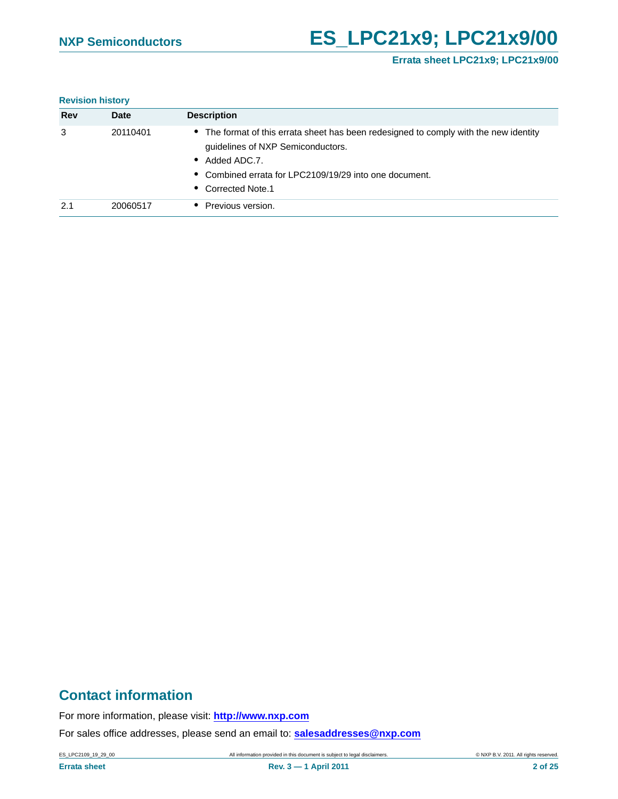## **Errata sheet LPC21x9; LPC21x9/00**

#### **Revision history**

| Rev | Date     | <b>Description</b>                                                                                                                                                                                                         |
|-----|----------|----------------------------------------------------------------------------------------------------------------------------------------------------------------------------------------------------------------------------|
| 3   | 20110401 | • The format of this errata sheet has been redesigned to comply with the new identity<br>guidelines of NXP Semiconductors.<br>Added ADC.7.<br>• Combined errata for LPC2109/19/29 into one document.<br>• Corrected Note.1 |
| 2.1 | 20060517 | Previous version.                                                                                                                                                                                                          |

## **Contact information**

For more information, please visit: **http://www.nxp.com**

For sales office addresses, please send an email to: **salesaddresses@nxp.com**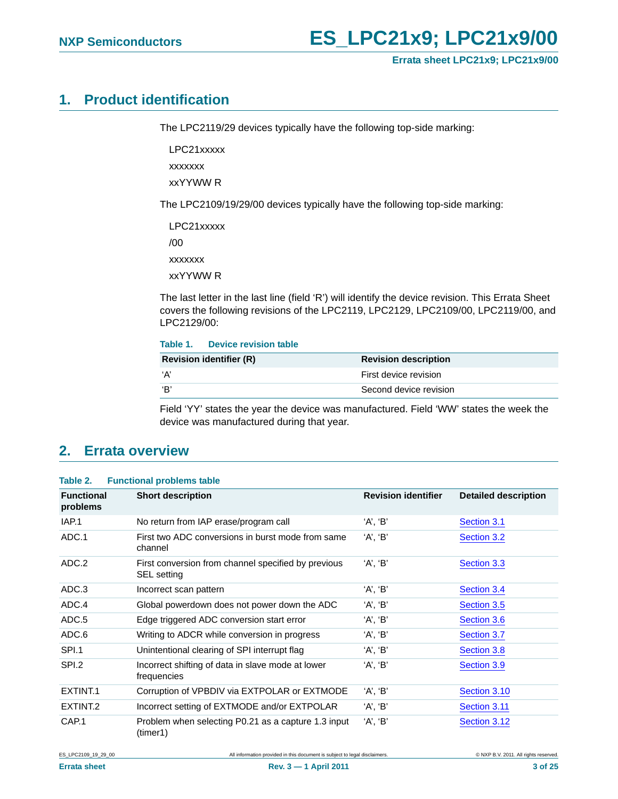## <span id="page-2-0"></span>**1. Product identification**

The LPC2119/29 devices typically have the following top-side marking:

LPC21xxxxx

xxxxxxx

xxYYWW R

The LPC2109/19/29/00 devices typically have the following top-side marking:

LPC21xxxxx /00 xxxxxxx xxYYWW R

The last letter in the last line (field 'R') will identify the device revision. This Errata Sheet covers the following revisions of the LPC2119, LPC2129, LPC2109/00, LPC2119/00, and LPC2129/00:

#### **Table 1. Device revision table**

| <b>Revision identifier (R)</b> | <b>Revision description</b> |
|--------------------------------|-----------------------------|
| ʻA'                            | First device revision       |
| 'В'                            | Second device revision      |

Field 'YY' states the year the device was manufactured. Field 'WW' states the week the device was manufactured during that year.

## <span id="page-2-1"></span>**2. Errata overview**

#### **Table 2. Functional problems table**

| <b>Functional</b><br>problems | <b>Short description</b>                                           | <b>Revision identifier</b> | <b>Detailed description</b> |
|-------------------------------|--------------------------------------------------------------------|----------------------------|-----------------------------|
| IAP.1                         | No return from IAP erase/program call                              | 'A', 'B'                   | Section 3.1                 |
| ADC.1                         | First two ADC conversions in burst mode from same<br>channel       | 'A', 'B'                   | Section 3.2                 |
| ADC.2                         | First conversion from channel specified by previous<br>SEL setting | 'A', 'B'                   | Section 3.3                 |
| ADC.3                         | Incorrect scan pattern                                             | 'A', 'B'                   | Section 3.4                 |
| ADC.4                         | Global powerdown does not power down the ADC                       | 'A', 'B'                   | Section 3.5                 |
| ADC.5                         | Edge triggered ADC conversion start error                          | 'A', 'B'                   | Section 3.6                 |
| ADC.6                         | Writing to ADCR while conversion in progress                       | 'A', 'B'                   | Section 3.7                 |
| SPI.1                         | Unintentional clearing of SPI interrupt flag                       | 'A', 'B'                   | Section 3.8                 |
| SPI.2                         | Incorrect shifting of data in slave mode at lower<br>frequencies   | 'A', 'B'                   | Section 3.9                 |
| EXTINT.1                      | Corruption of VPBDIV via EXTPOLAR or EXTMODE                       | 'A', 'B'                   | Section 3.10                |
| EXTINT <sub>.2</sub>          | Incorrect setting of EXTMODE and/or EXTPOLAR                       | 'A', 'B'                   | Section 3.11                |
| CAP.1                         | Problem when selecting P0.21 as a capture 1.3 input<br>(timer1)    | 'A', 'B'                   | Section 3.12                |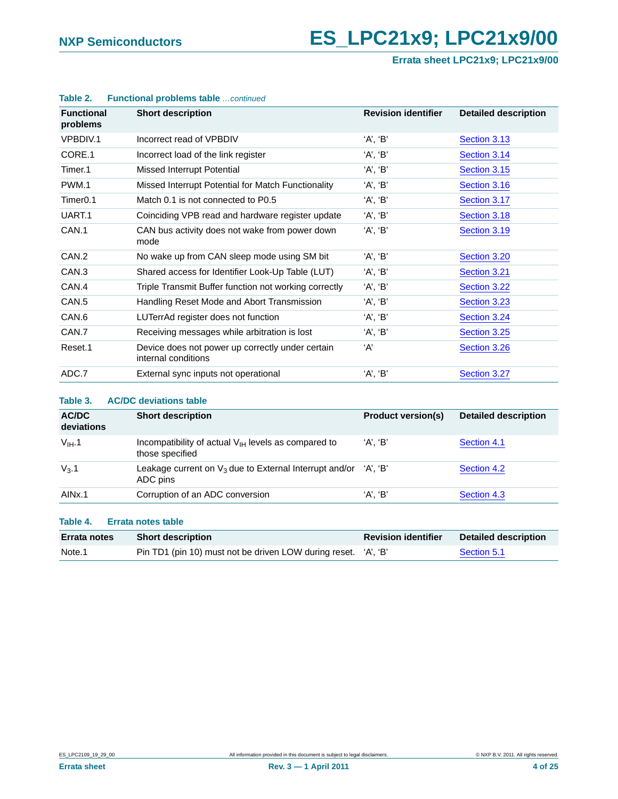**Errata sheet LPC21x9; LPC21x9/00**

| <b>Functional</b><br>problems | <b>Short description</b>                                                | <b>Revision identifier</b> | <b>Detailed description</b> |
|-------------------------------|-------------------------------------------------------------------------|----------------------------|-----------------------------|
| VPBDIV.1                      | Incorrect read of VPBDIV                                                | 'A', 'B'                   | Section 3.13                |
| CORE.1                        | Incorrect load of the link register                                     | 'A', 'B'                   | Section 3.14                |
| Timer.1                       | Missed Interrupt Potential                                              | 'A', 'B'                   | Section 3.15                |
| PWM.1                         | Missed Interrupt Potential for Match Functionality                      | 'A', 'B'                   | Section 3.16                |
| Timer <sub>0.1</sub>          | Match 0.1 is not connected to P0.5                                      | 'A', 'B'                   | Section 3.17                |
| UART.1                        | Coinciding VPB read and hardware register update                        | 'A', 'B'                   | Section 3.18                |
| CAN.1                         | CAN bus activity does not wake from power down<br>mode                  | 'A', 'B'                   | Section 3.19                |
| CAN <sub>.2</sub>             | No wake up from CAN sleep mode using SM bit                             | 'A', 'B'                   | Section 3.20                |
| CAN <sub>.3</sub>             | Shared access for Identifier Look-Up Table (LUT)                        | 'A', 'B'                   | Section 3.21                |
| CAN.4                         | Triple Transmit Buffer function not working correctly                   | 'A', 'B'                   | Section 3.22                |
| CAN <sub>.5</sub>             | Handling Reset Mode and Abort Transmission                              | 'A', 'B'                   | Section 3.23                |
| CAN.6                         | LUTerrAd register does not function                                     | 'A', 'B'                   | Section 3.24                |
| CAN.7                         | Receiving messages while arbitration is lost                            | 'A', 'B'                   | Section 3.25                |
| Reset.1                       | Device does not power up correctly under certain<br>internal conditions | ʻA'                        | Section 3.26                |
| ADC.7                         | External sync inputs not operational                                    | 'A', 'B'                   | Section 3.27                |

#### **Table 2. Functional problems table** *…continued*

#### **Table 3. AC/DC deviations table**

| AC/DC<br>deviations | <b>Short description</b>                                                       | <b>Product version(s)</b> | <b>Detailed description</b> |
|---------------------|--------------------------------------------------------------------------------|---------------------------|-----------------------------|
| $V_{IH}$ .1         | Incompatibility of actual $V_{H}$ levels as compared to<br>those specified     | 'A', 'B'                  | Section 4.1                 |
| $V_3.1$             | Leakage current on $V_3$ due to External Interrupt and/or 'A', 'B'<br>ADC pins |                           | Section 4.2                 |
| AIN <sub>x.1</sub>  | Corruption of an ADC conversion                                                | 'A'. 'B'                  | Section 4.3                 |

#### **Table 4. Errata notes table**

| <b>Errata notes</b> | <b>Short description</b>                                       | <b>Revision identifier</b> | Detailed description |
|---------------------|----------------------------------------------------------------|----------------------------|----------------------|
| Note.1              | Pin TD1 (pin 10) must not be driven LOW during reset. 'A', 'B' |                            | Section 5.1          |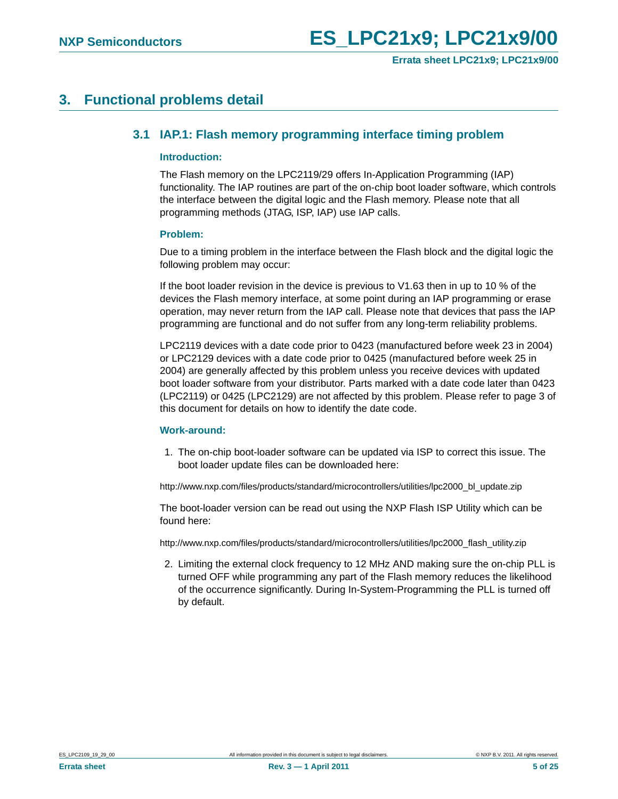# <span id="page-4-1"></span><span id="page-4-0"></span>**3. Functional problems detail**

## **3.1 IAP.1: Flash memory programming interface timing problem**

#### <span id="page-4-2"></span>**Introduction:**

The Flash memory on the LPC2119/29 offers In-Application Programming (IAP) functionality. The IAP routines are part of the on-chip boot loader software, which controls the interface between the digital logic and the Flash memory. Please note that all programming methods (JTAG, ISP, IAP) use IAP calls.

#### <span id="page-4-3"></span>**Problem:**

Due to a timing problem in the interface between the Flash block and the digital logic the following problem may occur:

If the boot loader revision in the device is previous to V1.63 then in up to 10 % of the devices the Flash memory interface, at some point during an IAP programming or erase operation, may never return from the IAP call. Please note that devices that pass the IAP programming are functional and do not suffer from any long-term reliability problems.

LPC2119 devices with a date code prior to 0423 (manufactured before week 23 in 2004) or LPC2129 devices with a date code prior to 0425 (manufactured before week 25 in 2004) are generally affected by this problem unless you receive devices with updated boot loader software from your distributor. Parts marked with a date code later than 0423 (LPC2119) or 0425 (LPC2129) are not affected by this problem. Please refer to page 3 of this document for details on how to identify the date code.

#### <span id="page-4-4"></span>**Work-around:**

1. The on-chip boot-loader software can be updated via ISP to correct this issue. The boot loader update files can be downloaded here:

http://www.nxp.com/files/products/standard/microcontrollers/utilities/lpc2000\_bl\_update.zip

The boot-loader version can be read out using the NXP Flash ISP Utility which can be found here:

http://www.nxp.com/files/products/standard/microcontrollers/utilities/lpc2000\_flash\_utility.zip

2. Limiting the external clock frequency to 12 MHz AND making sure the on-chip PLL is turned OFF while programming any part of the Flash memory reduces the likelihood of the occurrence significantly. During In-System-Programming the PLL is turned off by default.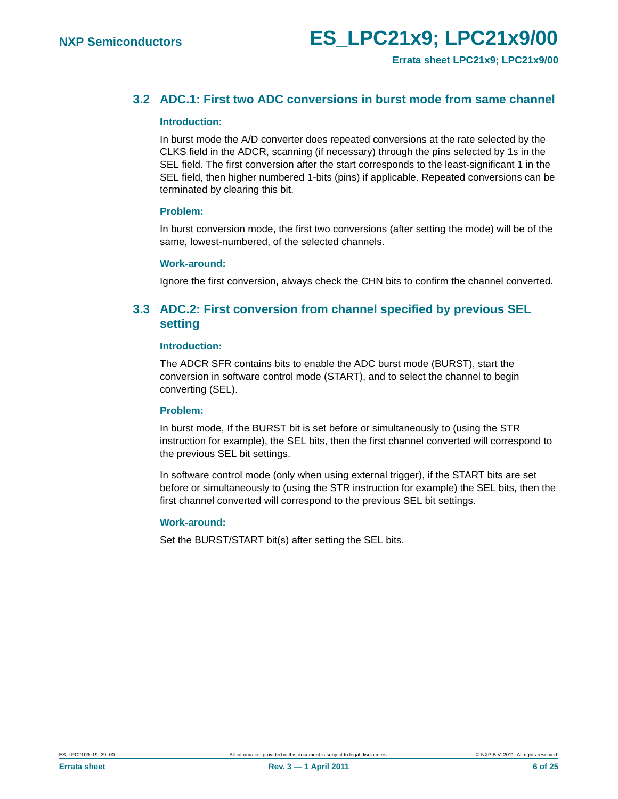## <span id="page-5-0"></span>**3.2 ADC.1: First two ADC conversions in burst mode from same channel**

#### <span id="page-5-2"></span>**Introduction:**

In burst mode the A/D converter does repeated conversions at the rate selected by the CLKS field in the ADCR, scanning (if necessary) through the pins selected by 1s in the SEL field. The first conversion after the start corresponds to the least-significant 1 in the SEL field, then higher numbered 1-bits (pins) if applicable. Repeated conversions can be terminated by clearing this bit.

#### <span id="page-5-3"></span>**Problem:**

In burst conversion mode, the first two conversions (after setting the mode) will be of the same, lowest-numbered, of the selected channels.

#### <span id="page-5-4"></span>**Work-around:**

Ignore the first conversion, always check the CHN bits to confirm the channel converted.

## <span id="page-5-1"></span>**3.3 ADC.2: First conversion from channel specified by previous SEL setting**

#### <span id="page-5-5"></span>**Introduction:**

The ADCR SFR contains bits to enable the ADC burst mode (BURST), start the conversion in software control mode (START), and to select the channel to begin converting (SEL).

#### <span id="page-5-6"></span>**Problem:**

In burst mode, If the BURST bit is set before or simultaneously to (using the STR instruction for example), the SEL bits, then the first channel converted will correspond to the previous SEL bit settings.

In software control mode (only when using external trigger), if the START bits are set before or simultaneously to (using the STR instruction for example) the SEL bits, then the first channel converted will correspond to the previous SEL bit settings.

#### <span id="page-5-7"></span>**Work-around:**

Set the BURST/START bit(s) after setting the SEL bits.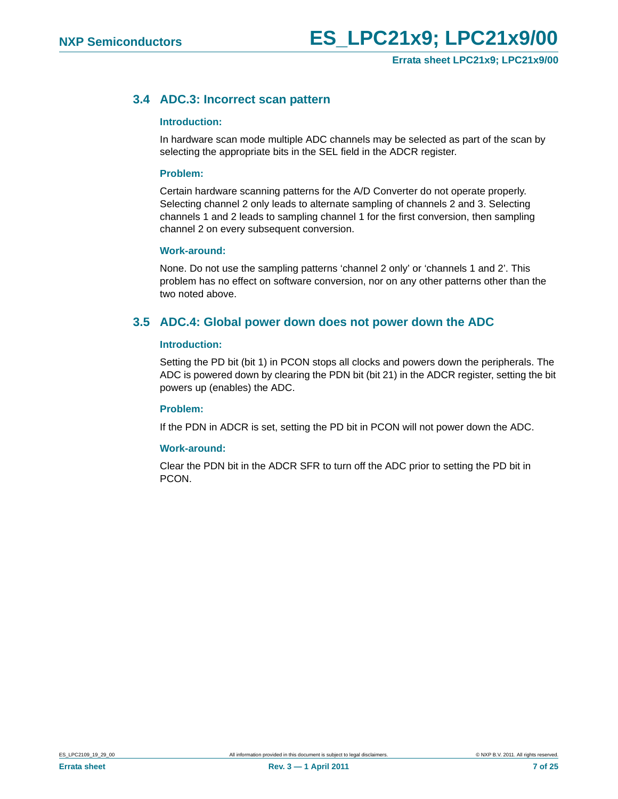## <span id="page-6-0"></span>**3.4 ADC.3: Incorrect scan pattern**

#### <span id="page-6-2"></span>**Introduction:**

In hardware scan mode multiple ADC channels may be selected as part of the scan by selecting the appropriate bits in the SEL field in the ADCR register.

#### <span id="page-6-3"></span>**Problem:**

Certain hardware scanning patterns for the A/D Converter do not operate properly. Selecting channel 2 only leads to alternate sampling of channels 2 and 3. Selecting channels 1 and 2 leads to sampling channel 1 for the first conversion, then sampling channel 2 on every subsequent conversion.

#### <span id="page-6-4"></span>**Work-around:**

None. Do not use the sampling patterns 'channel 2 only' or 'channels 1 and 2'. This problem has no effect on software conversion, nor on any other patterns other than the two noted above.

## <span id="page-6-1"></span>**3.5 ADC.4: Global power down does not power down the ADC**

#### <span id="page-6-5"></span>**Introduction:**

Setting the PD bit (bit 1) in PCON stops all clocks and powers down the peripherals. The ADC is powered down by clearing the PDN bit (bit 21) in the ADCR register, setting the bit powers up (enables) the ADC.

#### <span id="page-6-6"></span>**Problem:**

If the PDN in ADCR is set, setting the PD bit in PCON will not power down the ADC.

#### <span id="page-6-7"></span>**Work-around:**

Clear the PDN bit in the ADCR SFR to turn off the ADC prior to setting the PD bit in PCON.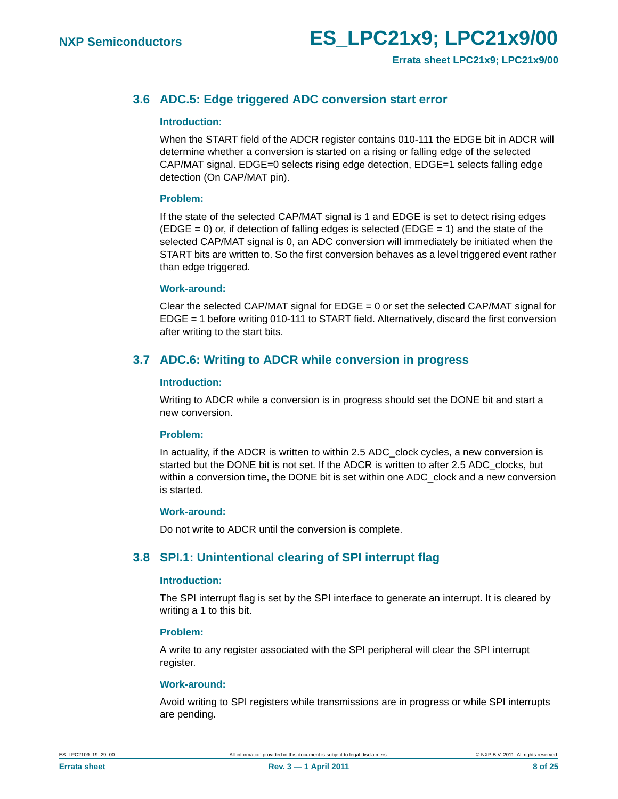## <span id="page-7-0"></span>**3.6 ADC.5: Edge triggered ADC conversion start error**

#### <span id="page-7-3"></span>**Introduction:**

When the START field of the ADCR register contains 010-111 the EDGE bit in ADCR will determine whether a conversion is started on a rising or falling edge of the selected CAP/MAT signal. EDGE=0 selects rising edge detection, EDGE=1 selects falling edge detection (On CAP/MAT pin).

#### <span id="page-7-4"></span>**Problem:**

If the state of the selected CAP/MAT signal is 1 and EDGE is set to detect rising edges  $(EDGE = 0)$  or, if detection of falling edges is selected  $(EDGE = 1)$  and the state of the selected CAP/MAT signal is 0, an ADC conversion will immediately be initiated when the START bits are written to. So the first conversion behaves as a level triggered event rather than edge triggered.

#### <span id="page-7-5"></span>**Work-around:**

Clear the selected CAP/MAT signal for  $EDGE = 0$  or set the selected CAP/MAT signal for EDGE = 1 before writing 010-111 to START field. Alternatively, discard the first conversion after writing to the start bits.

## <span id="page-7-1"></span>**3.7 ADC.6: Writing to ADCR while conversion in progress**

#### <span id="page-7-6"></span>**Introduction:**

Writing to ADCR while a conversion is in progress should set the DONE bit and start a new conversion.

#### <span id="page-7-7"></span>**Problem:**

In actuality, if the ADCR is written to within 2.5 ADC\_clock cycles, a new conversion is started but the DONE bit is not set. If the ADCR is written to after 2.5 ADC\_clocks, but within a conversion time, the DONE bit is set within one ADC\_clock and a new conversion is started.

#### <span id="page-7-8"></span>**Work-around:**

Do not write to ADCR until the conversion is complete.

## <span id="page-7-2"></span>**3.8 SPI.1: Unintentional clearing of SPI interrupt flag**

#### <span id="page-7-9"></span>**Introduction:**

The SPI interrupt flag is set by the SPI interface to generate an interrupt. It is cleared by writing a 1 to this bit.

#### <span id="page-7-10"></span>**Problem:**

A write to any register associated with the SPI peripheral will clear the SPI interrupt register.

#### <span id="page-7-11"></span>**Work-around:**

Avoid writing to SPI registers while transmissions are in progress or while SPI interrupts are pending.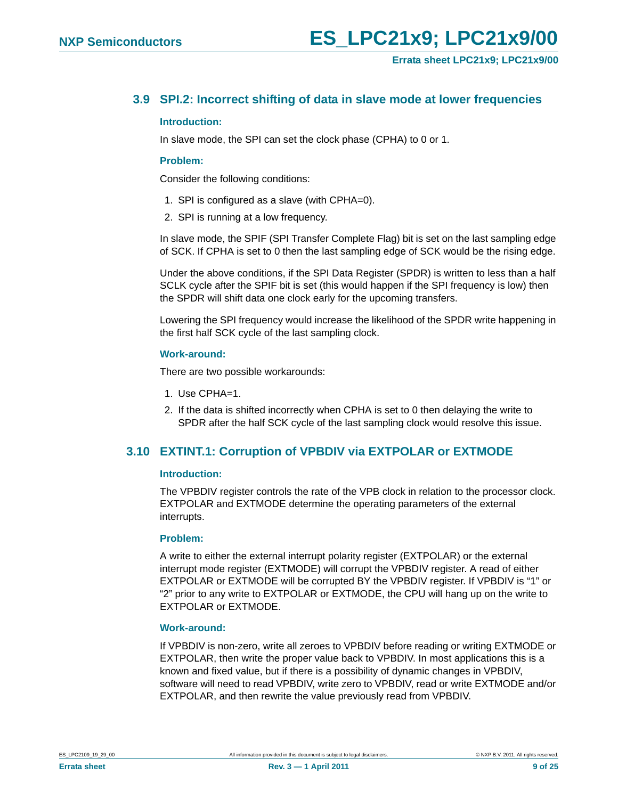## <span id="page-8-0"></span>**3.9 SPI.2: Incorrect shifting of data in slave mode at lower frequencies**

#### <span id="page-8-2"></span>**Introduction:**

In slave mode, the SPI can set the clock phase (CPHA) to 0 or 1.

#### <span id="page-8-3"></span>**Problem:**

Consider the following conditions:

- 1. SPI is configured as a slave (with CPHA=0).
- 2. SPI is running at a low frequency.

In slave mode, the SPIF (SPI Transfer Complete Flag) bit is set on the last sampling edge of SCK. If CPHA is set to 0 then the last sampling edge of SCK would be the rising edge.

Under the above conditions, if the SPI Data Register (SPDR) is written to less than a half SCLK cycle after the SPIF bit is set (this would happen if the SPI frequency is low) then the SPDR will shift data one clock early for the upcoming transfers.

Lowering the SPI frequency would increase the likelihood of the SPDR write happening in the first half SCK cycle of the last sampling clock.

#### <span id="page-8-4"></span>**Work-around:**

There are two possible workarounds:

- 1. Use CPHA=1.
- 2. If the data is shifted incorrectly when CPHA is set to 0 then delaying the write to SPDR after the half SCK cycle of the last sampling clock would resolve this issue.

## <span id="page-8-1"></span>**3.10 EXTINT.1: Corruption of VPBDIV via EXTPOLAR or EXTMODE**

#### <span id="page-8-5"></span>**Introduction:**

The VPBDIV register controls the rate of the VPB clock in relation to the processor clock. EXTPOLAR and EXTMODE determine the operating parameters of the external interrupts.

#### <span id="page-8-6"></span>**Problem:**

A write to either the external interrupt polarity register (EXTPOLAR) or the external interrupt mode register (EXTMODE) will corrupt the VPBDIV register. A read of either EXTPOLAR or EXTMODE will be corrupted BY the VPBDIV register. If VPBDIV is "1" or "2" prior to any write to EXTPOLAR or EXTMODE, the CPU will hang up on the write to EXTPOLAR or EXTMODE.

#### <span id="page-8-7"></span>**Work-around:**

If VPBDIV is non-zero, write all zeroes to VPBDIV before reading or writing EXTMODE or EXTPOLAR, then write the proper value back to VPBDIV. In most applications this is a known and fixed value, but if there is a possibility of dynamic changes in VPBDIV, software will need to read VPBDIV, write zero to VPBDIV, read or write EXTMODE and/or EXTPOLAR, and then rewrite the value previously read from VPBDIV.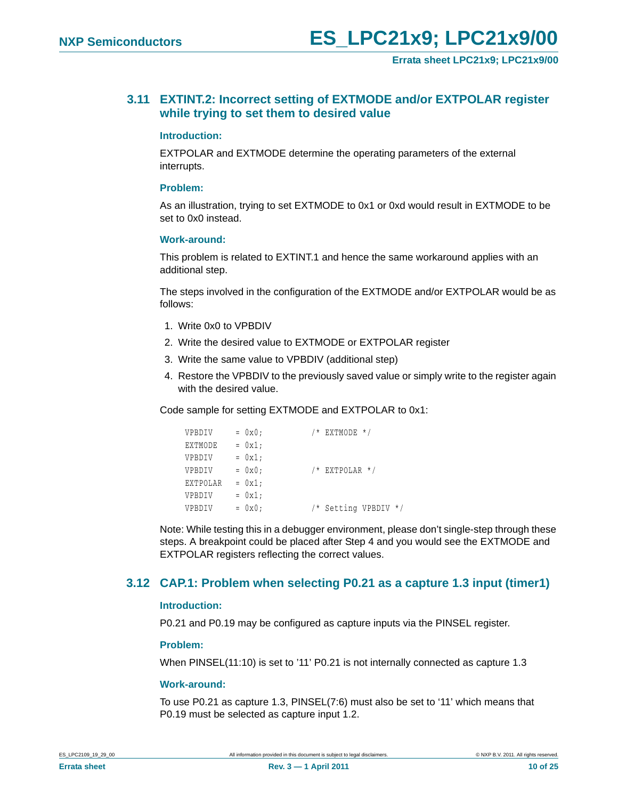## <span id="page-9-0"></span>**3.11 EXTINT.2: Incorrect setting of EXTMODE and/or EXTPOLAR register while trying to set them to desired value**

#### <span id="page-9-2"></span>**Introduction:**

EXTPOLAR and EXTMODE determine the operating parameters of the external interrupts.

#### <span id="page-9-3"></span>**Problem:**

As an illustration, trying to set EXTMODE to 0x1 or 0xd would result in EXTMODE to be set to 0x0 instead.

#### <span id="page-9-4"></span>**Work-around:**

This problem is related to EXTINT.1 and hence the same workaround applies with an additional step.

The steps involved in the configuration of the EXTMODE and/or EXTPOLAR would be as follows:

- 1. Write 0x0 to VPBDIV
- 2. Write the desired value to EXTMODE or EXTPOLAR register
- 3. Write the same value to VPBDIV (additional step)
- 4. Restore the VPBDIV to the previously saved value or simply write to the register again with the desired value.

Code sample for setting EXTMODE and EXTPOLAR to 0x1:

| VPBDIV   | $= 0x0;$ | $/*$ EXTMODE $*/$    |
|----------|----------|----------------------|
| EXTMODE  | $= 0x1;$ |                      |
| VPBDIV   | $= 0x1;$ |                      |
| VPBDIV   | $= 0x0;$ | $/*$ EXTPOLAR $*/$   |
| EXTPOLAR | $= 0x1;$ |                      |
| VPBDIV   | $= 0x1;$ |                      |
| VPBDIV   | $= 0x0;$ | /* Setting VPBDIV */ |

Note: While testing this in a debugger environment, please don't single-step through these steps. A breakpoint could be placed after Step 4 and you would see the EXTMODE and EXTPOLAR registers reflecting the correct values.

## <span id="page-9-1"></span>**3.12 CAP.1: Problem when selecting P0.21 as a capture 1.3 input (timer1)**

#### <span id="page-9-5"></span>**Introduction:**

P0.21 and P0.19 may be configured as capture inputs via the PINSEL register.

#### <span id="page-9-6"></span>**Problem:**

When PINSEL(11:10) is set to '11' P0.21 is not internally connected as capture 1.3

#### <span id="page-9-7"></span>**Work-around:**

To use P0.21 as capture 1.3, PINSEL(7:6) must also be set to '11' which means that P0.19 must be selected as capture input 1.2.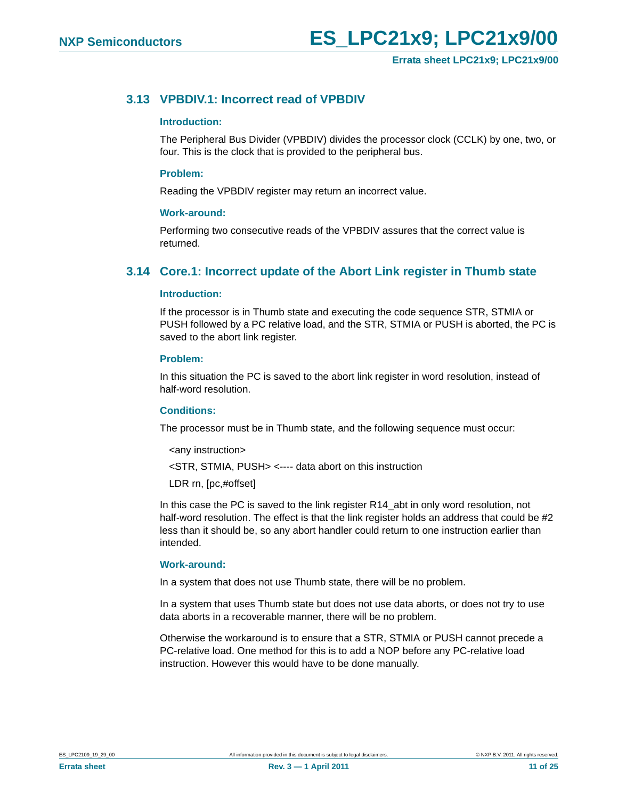## <span id="page-10-0"></span>**3.13 VPBDIV.1: Incorrect read of VPBDIV**

#### <span id="page-10-2"></span>**Introduction:**

The Peripheral Bus Divider (VPBDIV) divides the processor clock (CCLK) by one, two, or four. This is the clock that is provided to the peripheral bus.

#### <span id="page-10-3"></span>**Problem:**

Reading the VPBDIV register may return an incorrect value.

#### <span id="page-10-4"></span>**Work-around:**

Performing two consecutive reads of the VPBDIV assures that the correct value is returned.

## <span id="page-10-1"></span>**3.14 Core.1: Incorrect update of the Abort Link register in Thumb state**

#### <span id="page-10-5"></span>**Introduction:**

If the processor is in Thumb state and executing the code sequence STR, STMIA or PUSH followed by a PC relative load, and the STR, STMIA or PUSH is aborted, the PC is saved to the abort link register.

#### <span id="page-10-6"></span>**Problem:**

In this situation the PC is saved to the abort link register in word resolution, instead of half-word resolution.

#### <span id="page-10-7"></span>**Conditions:**

The processor must be in Thumb state, and the following sequence must occur:

<any instruction>

<STR, STMIA, PUSH> <---- data abort on this instruction

LDR rn, [pc,#offset]

In this case the PC is saved to the link register R14\_abt in only word resolution, not half-word resolution. The effect is that the link register holds an address that could be #2 less than it should be, so any abort handler could return to one instruction earlier than intended.

#### <span id="page-10-8"></span>**Work-around:**

In a system that does not use Thumb state, there will be no problem.

In a system that uses Thumb state but does not use data aborts, or does not try to use data aborts in a recoverable manner, there will be no problem.

Otherwise the workaround is to ensure that a STR, STMIA or PUSH cannot precede a PC-relative load. One method for this is to add a NOP before any PC-relative load instruction. However this would have to be done manually.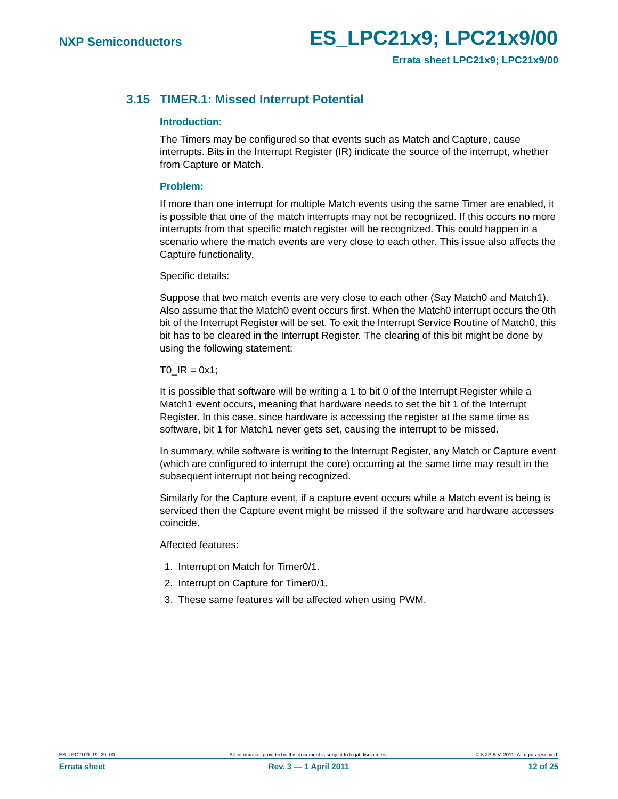## <span id="page-11-0"></span>**3.15 TIMER.1: Missed Interrupt Potential**

#### <span id="page-11-1"></span>**Introduction:**

The Timers may be configured so that events such as Match and Capture, cause interrupts. Bits in the Interrupt Register (IR) indicate the source of the interrupt, whether from Capture or Match.

#### <span id="page-11-2"></span>**Problem:**

If more than one interrupt for multiple Match events using the same Timer are enabled, it is possible that one of the match interrupts may not be recognized. If this occurs no more interrupts from that specific match register will be recognized. This could happen in a scenario where the match events are very close to each other. This issue also affects the Capture functionality.

Specific details:

Suppose that two match events are very close to each other (Say Match0 and Match1). Also assume that the Match0 event occurs first. When the Match0 interrupt occurs the 0th bit of the Interrupt Register will be set. To exit the Interrupt Service Routine of Match0, this bit has to be cleared in the Interrupt Register. The clearing of this bit might be done by using the following statement:

 $TO$  $IR = 0x1$ ;

It is possible that software will be writing a 1 to bit 0 of the Interrupt Register while a Match1 event occurs, meaning that hardware needs to set the bit 1 of the Interrupt Register. In this case, since hardware is accessing the register at the same time as software, bit 1 for Match1 never gets set, causing the interrupt to be missed.

In summary, while software is writing to the Interrupt Register, any Match or Capture event (which are configured to interrupt the core) occurring at the same time may result in the subsequent interrupt not being recognized.

Similarly for the Capture event, if a capture event occurs while a Match event is being is serviced then the Capture event might be missed if the software and hardware accesses coincide.

Affected features:

- 1. Interrupt on Match for Timer0/1.
- 2. Interrupt on Capture for Timer0/1.
- 3. These same features will be affected when using PWM.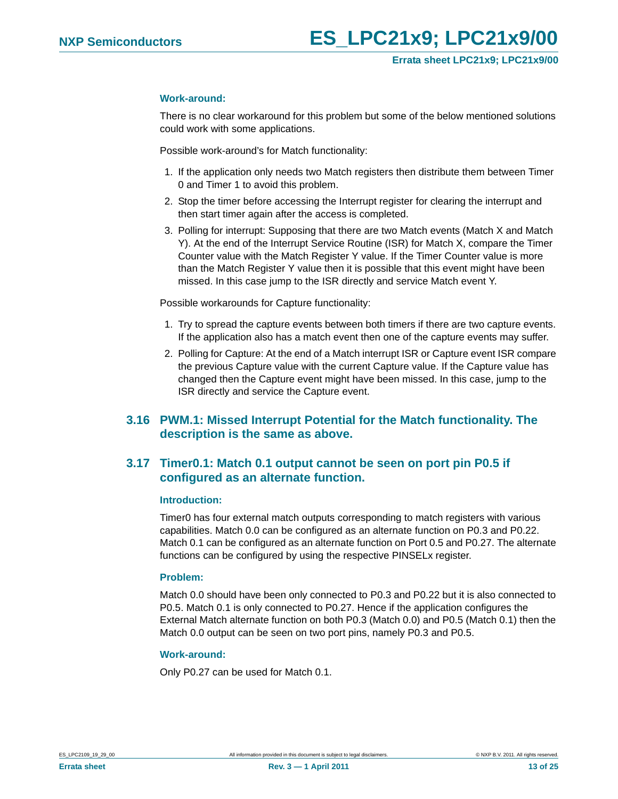#### <span id="page-12-2"></span>**Work-around:**

There is no clear workaround for this problem but some of the below mentioned solutions could work with some applications.

Possible work-around's for Match functionality:

- 1. If the application only needs two Match registers then distribute them between Timer 0 and Timer 1 to avoid this problem.
- 2. Stop the timer before accessing the Interrupt register for clearing the interrupt and then start timer again after the access is completed.
- 3. Polling for interrupt: Supposing that there are two Match events (Match X and Match Y). At the end of the Interrupt Service Routine (ISR) for Match X, compare the Timer Counter value with the Match Register Y value. If the Timer Counter value is more than the Match Register Y value then it is possible that this event might have been missed. In this case jump to the ISR directly and service Match event Y.

Possible workarounds for Capture functionality:

- 1. Try to spread the capture events between both timers if there are two capture events. If the application also has a match event then one of the capture events may suffer.
- 2. Polling for Capture: At the end of a Match interrupt ISR or Capture event ISR compare the previous Capture value with the current Capture value. If the Capture value has changed then the Capture event might have been missed. In this case, jump to the ISR directly and service the Capture event.

## <span id="page-12-1"></span>**3.16 PWM.1: Missed Interrupt Potential for the Match functionality. The description is the same as above.**

## <span id="page-12-0"></span>**3.17 Timer0.1: Match 0.1 output cannot be seen on port pin P0.5 if configured as an alternate function.**

#### <span id="page-12-3"></span>**Introduction:**

Timer0 has four external match outputs corresponding to match registers with various capabilities. Match 0.0 can be configured as an alternate function on P0.3 and P0.22. Match 0.1 can be configured as an alternate function on Port 0.5 and P0.27. The alternate functions can be configured by using the respective PINSELx register.

#### <span id="page-12-4"></span>**Problem:**

Match 0.0 should have been only connected to P0.3 and P0.22 but it is also connected to P0.5. Match 0.1 is only connected to P0.27. Hence if the application configures the External Match alternate function on both P0.3 (Match 0.0) and P0.5 (Match 0.1) then the Match 0.0 output can be seen on two port pins, namely P0.3 and P0.5.

#### <span id="page-12-5"></span>**Work-around:**

Only P0.27 can be used for Match 0.1.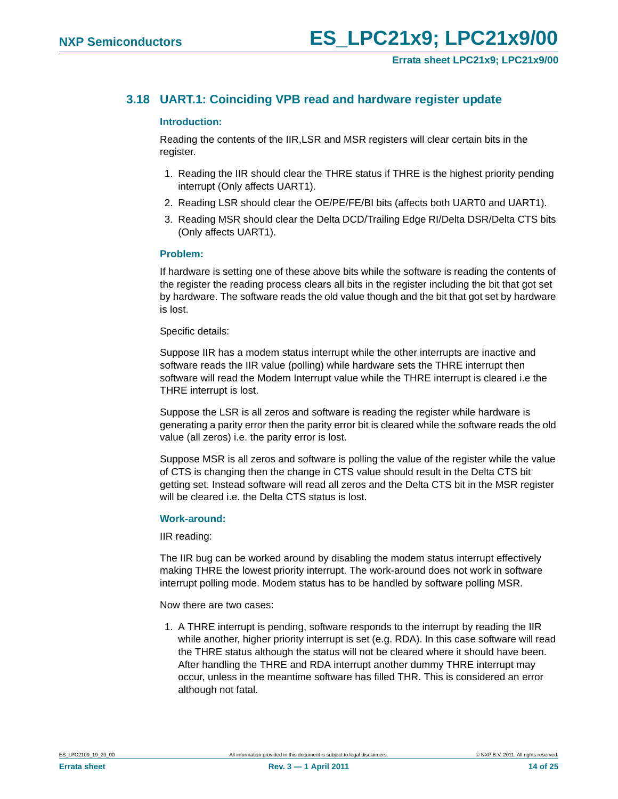## <span id="page-13-0"></span>**3.18 UART.1: Coinciding VPB read and hardware register update**

#### <span id="page-13-1"></span>**Introduction:**

Reading the contents of the IIR,LSR and MSR registers will clear certain bits in the register.

- 1. Reading the IIR should clear the THRE status if THRE is the highest priority pending interrupt (Only affects UART1).
- 2. Reading LSR should clear the OE/PE/FE/BI bits (affects both UART0 and UART1).
- 3. Reading MSR should clear the Delta DCD/Trailing Edge RI/Delta DSR/Delta CTS bits (Only affects UART1).

#### <span id="page-13-2"></span>**Problem:**

If hardware is setting one of these above bits while the software is reading the contents of the register the reading process clears all bits in the register including the bit that got set by hardware. The software reads the old value though and the bit that got set by hardware is lost.

#### Specific details:

Suppose IIR has a modem status interrupt while the other interrupts are inactive and software reads the IIR value (polling) while hardware sets the THRE interrupt then software will read the Modem Interrupt value while the THRE interrupt is cleared i.e the THRE interrupt is lost.

Suppose the LSR is all zeros and software is reading the register while hardware is generating a parity error then the parity error bit is cleared while the software reads the old value (all zeros) i.e. the parity error is lost.

Suppose MSR is all zeros and software is polling the value of the register while the value of CTS is changing then the change in CTS value should result in the Delta CTS bit getting set. Instead software will read all zeros and the Delta CTS bit in the MSR register will be cleared i.e. the Delta CTS status is lost.

#### <span id="page-13-3"></span>**Work-around:**

IIR reading:

The IIR bug can be worked around by disabling the modem status interrupt effectively making THRE the lowest priority interrupt. The work-around does not work in software interrupt polling mode. Modem status has to be handled by software polling MSR.

Now there are two cases:

1. A THRE interrupt is pending, software responds to the interrupt by reading the IIR while another, higher priority interrupt is set (e.g. RDA). In this case software will read the THRE status although the status will not be cleared where it should have been. After handling the THRE and RDA interrupt another dummy THRE interrupt may occur, unless in the meantime software has filled THR. This is considered an error although not fatal.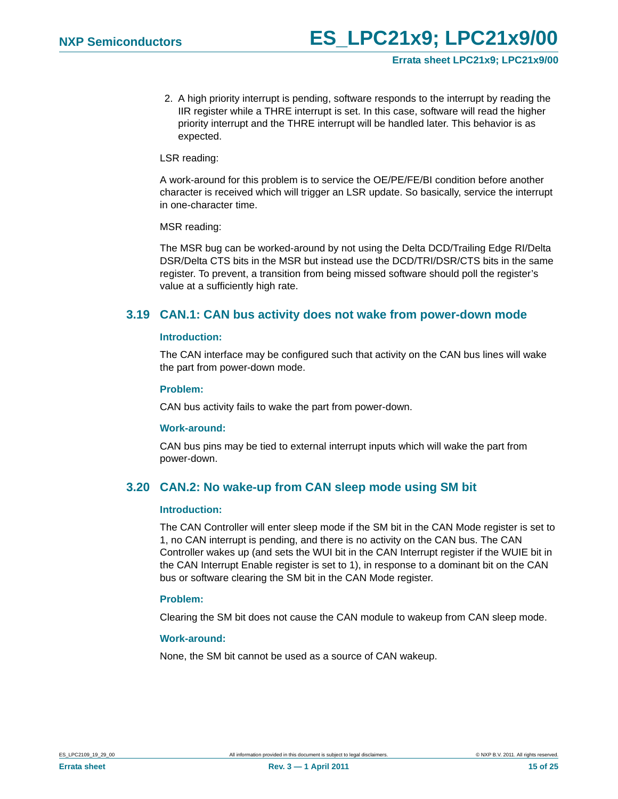2. A high priority interrupt is pending, software responds to the interrupt by reading the IIR register while a THRE interrupt is set. In this case, software will read the higher priority interrupt and the THRE interrupt will be handled later. This behavior is as expected.

### LSR reading:

A work-around for this problem is to service the OE/PE/FE/BI condition before another character is received which will trigger an LSR update. So basically, service the interrupt in one-character time.

#### MSR reading:

The MSR bug can be worked-around by not using the Delta DCD/Trailing Edge RI/Delta DSR/Delta CTS bits in the MSR but instead use the DCD/TRI/DSR/CTS bits in the same register. To prevent, a transition from being missed software should poll the register's value at a sufficiently high rate.

## <span id="page-14-0"></span>**3.19 CAN.1: CAN bus activity does not wake from power-down mode**

#### <span id="page-14-2"></span>**Introduction:**

The CAN interface may be configured such that activity on the CAN bus lines will wake the part from power-down mode.

#### <span id="page-14-3"></span>**Problem:**

CAN bus activity fails to wake the part from power-down.

#### <span id="page-14-4"></span>**Work-around:**

CAN bus pins may be tied to external interrupt inputs which will wake the part from power-down.

## <span id="page-14-1"></span>**3.20 CAN.2: No wake-up from CAN sleep mode using SM bit**

#### <span id="page-14-5"></span>**Introduction:**

The CAN Controller will enter sleep mode if the SM bit in the CAN Mode register is set to 1, no CAN interrupt is pending, and there is no activity on the CAN bus. The CAN Controller wakes up (and sets the WUI bit in the CAN Interrupt register if the WUIE bit in the CAN Interrupt Enable register is set to 1), in response to a dominant bit on the CAN bus or software clearing the SM bit in the CAN Mode register.

#### <span id="page-14-6"></span>**Problem:**

Clearing the SM bit does not cause the CAN module to wakeup from CAN sleep mode.

#### <span id="page-14-7"></span>**Work-around:**

None, the SM bit cannot be used as a source of CAN wakeup.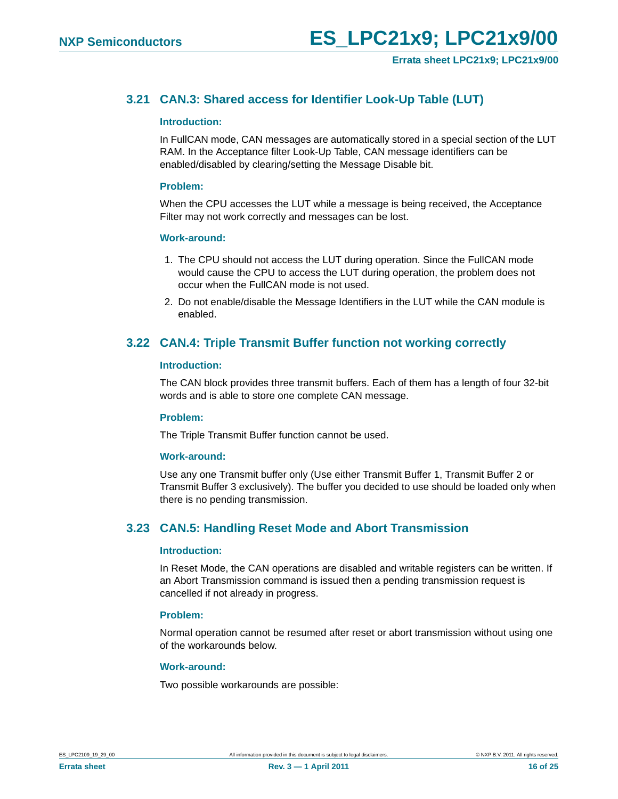## <span id="page-15-0"></span>**3.21 CAN.3: Shared access for Identifier Look-Up Table (LUT)**

#### <span id="page-15-3"></span>**Introduction:**

In FullCAN mode, CAN messages are automatically stored in a special section of the LUT RAM. In the Acceptance filter Look-Up Table, CAN message identifiers can be enabled/disabled by clearing/setting the Message Disable bit.

#### <span id="page-15-4"></span>**Problem:**

When the CPU accesses the LUT while a message is being received, the Acceptance Filter may not work correctly and messages can be lost.

#### <span id="page-15-5"></span>**Work-around:**

- 1. The CPU should not access the LUT during operation. Since the FullCAN mode would cause the CPU to access the LUT during operation, the problem does not occur when the FullCAN mode is not used.
- 2. Do not enable/disable the Message Identifiers in the LUT while the CAN module is enabled.

## <span id="page-15-1"></span>**3.22 CAN.4: Triple Transmit Buffer function not working correctly**

#### <span id="page-15-6"></span>**Introduction:**

The CAN block provides three transmit buffers. Each of them has a length of four 32-bit words and is able to store one complete CAN message.

#### <span id="page-15-7"></span>**Problem:**

The Triple Transmit Buffer function cannot be used.

#### <span id="page-15-8"></span>**Work-around:**

Use any one Transmit buffer only (Use either Transmit Buffer 1, Transmit Buffer 2 or Transmit Buffer 3 exclusively). The buffer you decided to use should be loaded only when there is no pending transmission.

## <span id="page-15-2"></span>**3.23 CAN.5: Handling Reset Mode and Abort Transmission**

#### <span id="page-15-9"></span>**Introduction:**

In Reset Mode, the CAN operations are disabled and writable registers can be written. If an Abort Transmission command is issued then a pending transmission request is cancelled if not already in progress.

#### <span id="page-15-10"></span>**Problem:**

Normal operation cannot be resumed after reset or abort transmission without using one of the workarounds below.

#### <span id="page-15-11"></span>**Work-around:**

Two possible workarounds are possible: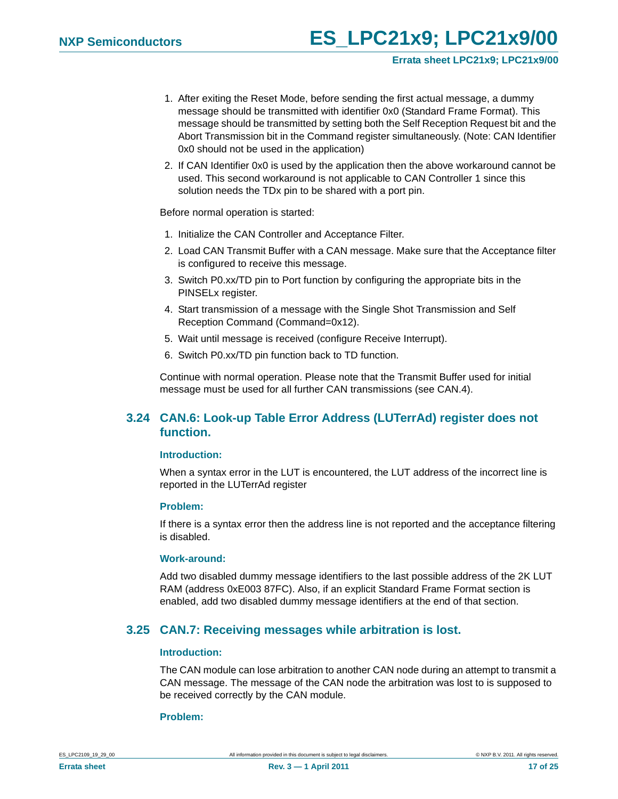- 1. After exiting the Reset Mode, before sending the first actual message, a dummy message should be transmitted with identifier 0x0 (Standard Frame Format). This message should be transmitted by setting both the Self Reception Request bit and the Abort Transmission bit in the Command register simultaneously. (Note: CAN Identifier 0x0 should not be used in the application)
- 2. If CAN Identifier 0x0 is used by the application then the above workaround cannot be used. This second workaround is not applicable to CAN Controller 1 since this solution needs the TDx pin to be shared with a port pin.

Before normal operation is started:

- 1. Initialize the CAN Controller and Acceptance Filter.
- 2. Load CAN Transmit Buffer with a CAN message. Make sure that the Acceptance filter is configured to receive this message.
- 3. Switch P0.xx/TD pin to Port function by configuring the appropriate bits in the PINSELx register.
- 4. Start transmission of a message with the Single Shot Transmission and Self Reception Command (Command=0x12).
- 5. Wait until message is received (configure Receive Interrupt).
- 6. Switch P0.xx/TD pin function back to TD function.

Continue with normal operation. Please note that the Transmit Buffer used for initial message must be used for all further CAN transmissions (see CAN.4).

## <span id="page-16-0"></span>**3.24 CAN.6: Look-up Table Error Address (LUTerrAd) register does not function.**

#### <span id="page-16-2"></span>**Introduction:**

When a syntax error in the LUT is encountered, the LUT address of the incorrect line is reported in the LUTerrAd register

#### <span id="page-16-3"></span>**Problem:**

If there is a syntax error then the address line is not reported and the acceptance filtering is disabled.

#### <span id="page-16-4"></span>**Work-around:**

Add two disabled dummy message identifiers to the last possible address of the 2K LUT RAM (address 0xE003 87FC). Also, if an explicit Standard Frame Format section is enabled, add two disabled dummy message identifiers at the end of that section.

### <span id="page-16-1"></span>**3.25 CAN.7: Receiving messages while arbitration is lost.**

#### <span id="page-16-5"></span>**Introduction:**

The CAN module can lose arbitration to another CAN node during an attempt to transmit a CAN message. The message of the CAN node the arbitration was lost to is supposed to be received correctly by the CAN module.

#### <span id="page-16-6"></span>**Problem:**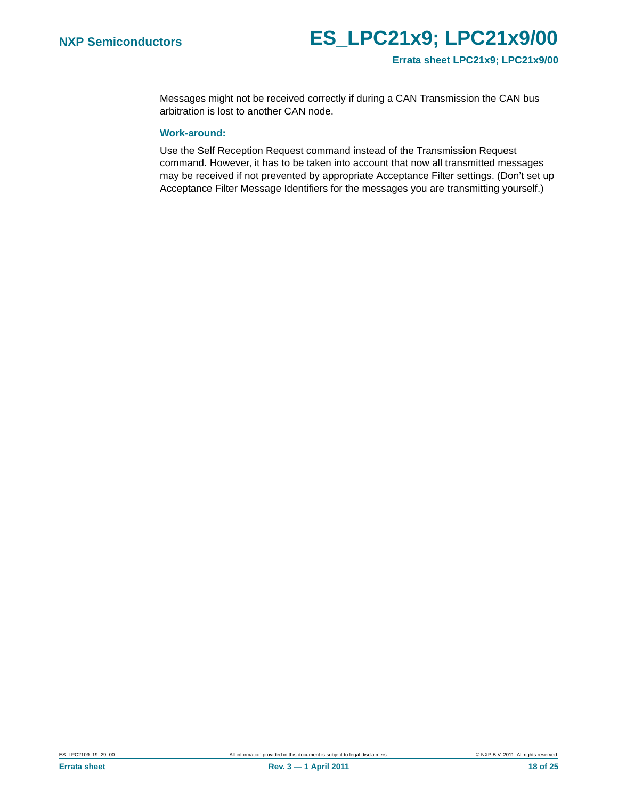Messages might not be received correctly if during a CAN Transmission the CAN bus arbitration is lost to another CAN node.

### <span id="page-17-0"></span>**Work-around:**

Use the Self Reception Request command instead of the Transmission Request command. However, it has to be taken into account that now all transmitted messages may be received if not prevented by appropriate Acceptance Filter settings. (Don't set up Acceptance Filter Message Identifiers for the messages you are transmitting yourself.)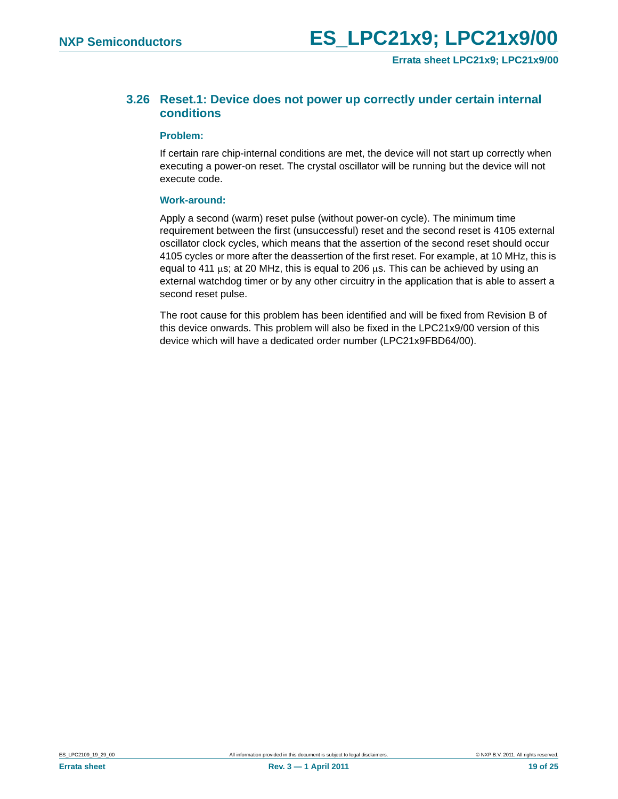## <span id="page-18-0"></span>**3.26 Reset.1: Device does not power up correctly under certain internal conditions**

#### <span id="page-18-1"></span>**Problem:**

If certain rare chip-internal conditions are met, the device will not start up correctly when executing a power-on reset. The crystal oscillator will be running but the device will not execute code.

#### <span id="page-18-2"></span>**Work-around:**

Apply a second (warm) reset pulse (without power-on cycle). The minimum time requirement between the first (unsuccessful) reset and the second reset is 4105 external oscillator clock cycles, which means that the assertion of the second reset should occur 4105 cycles or more after the deassertion of the first reset. For example, at 10 MHz, this is equal to 411  $\mu$ s; at 20 MHz, this is equal to 206  $\mu$ s. This can be achieved by using an external watchdog timer or by any other circuitry in the application that is able to assert a second reset pulse.

The root cause for this problem has been identified and will be fixed from Revision B of this device onwards. This problem will also be fixed in the LPC21x9/00 version of this device which will have a dedicated order number (LPC21x9FBD64/00).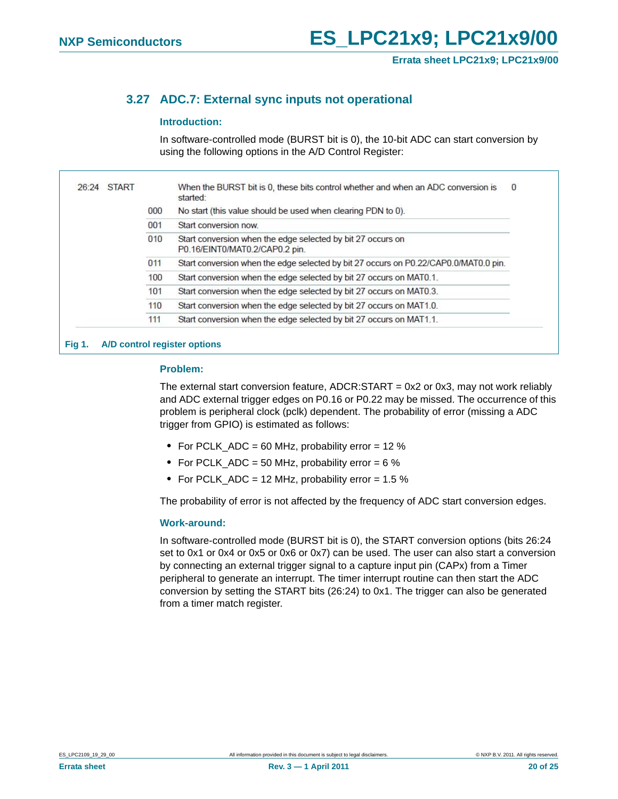## <span id="page-19-0"></span>**3.27 ADC.7: External sync inputs not operational**

#### <span id="page-19-1"></span>**Introduction:**

In software-controlled mode (BURST bit is 0), the 10-bit ADC can start conversion by using the following options in the A/D Control Register:

|  |     | When the BURST bit is 0, these bits control whether and when an ADC conversion is<br>started: |
|--|-----|-----------------------------------------------------------------------------------------------|
|  | 000 | No start (this value should be used when clearing PDN to 0).                                  |
|  | 001 | Start conversion now                                                                          |
|  | 010 | Start conversion when the edge selected by bit 27 occurs on<br>P0.16/EINT0/MAT0.2/CAP0.2 pin. |
|  | 011 | Start conversion when the edge selected by bit 27 occurs on P0.22/CAP0.0/MAT0.0 pin.          |
|  | 100 | Start conversion when the edge selected by bit 27 occurs on MAT0.1.                           |
|  | 101 | Start conversion when the edge selected by bit 27 occurs on MAT0.3.                           |
|  | 110 | Start conversion when the edge selected by bit 27 occurs on MAT1.0.                           |
|  | 111 | Start conversion when the edge selected by bit 27 occurs on MAT1.1.                           |

#### <span id="page-19-2"></span>**Problem:**

The external start conversion feature,  $ADCR:START = 0x2$  or 0x3, may not work reliably and ADC external trigger edges on P0.16 or P0.22 may be missed. The occurrence of this problem is peripheral clock (pclk) dependent. The probability of error (missing a ADC trigger from GPIO) is estimated as follows:

- **•** For PCLK\_ADC = 60 MHz, probability error = 12 %
- For PCLK ADC = 50 MHz, probability error = 6 %
- **•** For PCLK\_ADC = 12 MHz, probability error = 1.5 %

The probability of error is not affected by the frequency of ADC start conversion edges.

#### <span id="page-19-3"></span>**Work-around:**

In software-controlled mode (BURST bit is 0), the START conversion options (bits 26:24 set to 0x1 or 0x4 or 0x5 or 0x6 or 0x7) can be used. The user can also start a conversion by connecting an external trigger signal to a capture input pin (CAPx) from a Timer peripheral to generate an interrupt. The timer interrupt routine can then start the ADC conversion by setting the START bits (26:24) to 0x1. The trigger can also be generated from a timer match register.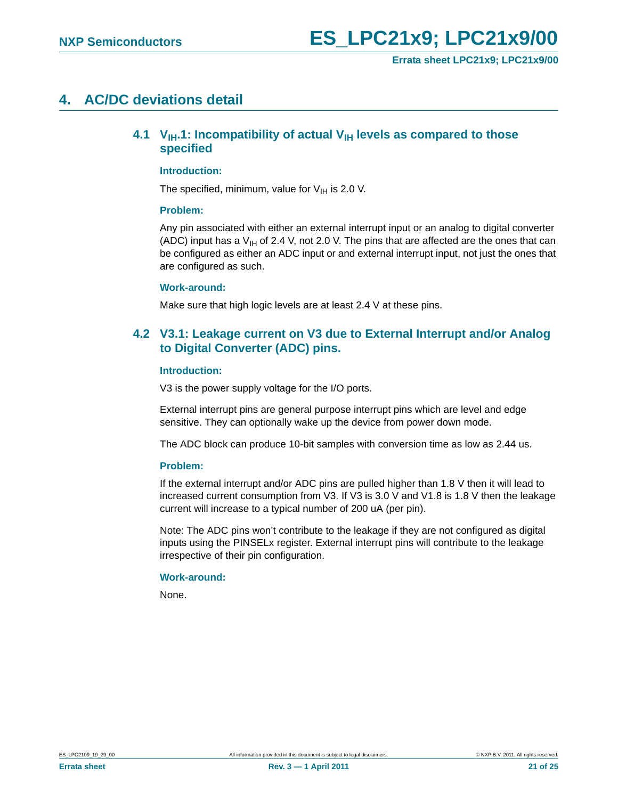## <span id="page-20-2"></span><span id="page-20-0"></span>**4. AC/DC deviations detail**

## **4.1 V<sub>IH</sub>.1: Incompatibility of actual V<sub>IH</sub> levels as compared to those specified**

#### <span id="page-20-3"></span>**Introduction:**

The specified, minimum, value for  $V_{IH}$  is 2.0 V.

#### <span id="page-20-4"></span>**Problem:**

Any pin associated with either an external interrupt input or an analog to digital converter (ADC) input has a  $V_{\text{H}}$  of 2.4 V, not 2.0 V. The pins that are affected are the ones that can be configured as either an ADC input or and external interrupt input, not just the ones that are configured as such.

#### <span id="page-20-5"></span>**Work-around:**

Make sure that high logic levels are at least 2.4 V at these pins.

## <span id="page-20-1"></span>**4.2 V3.1: Leakage current on V3 due to External Interrupt and/or Analog to Digital Converter (ADC) pins.**

#### <span id="page-20-6"></span>**Introduction:**

V3 is the power supply voltage for the I/O ports.

External interrupt pins are general purpose interrupt pins which are level and edge sensitive. They can optionally wake up the device from power down mode.

The ADC block can produce 10-bit samples with conversion time as low as 2.44 us.

#### <span id="page-20-7"></span>**Problem:**

If the external interrupt and/or ADC pins are pulled higher than 1.8 V then it will lead to increased current consumption from V3. If V3 is 3.0 V and V1.8 is 1.8 V then the leakage current will increase to a typical number of 200 uA (per pin).

Note: The ADC pins won't contribute to the leakage if they are not configured as digital inputs using the PINSELx register. External interrupt pins will contribute to the leakage irrespective of their pin configuration.

#### <span id="page-20-8"></span>**Work-around:**

None.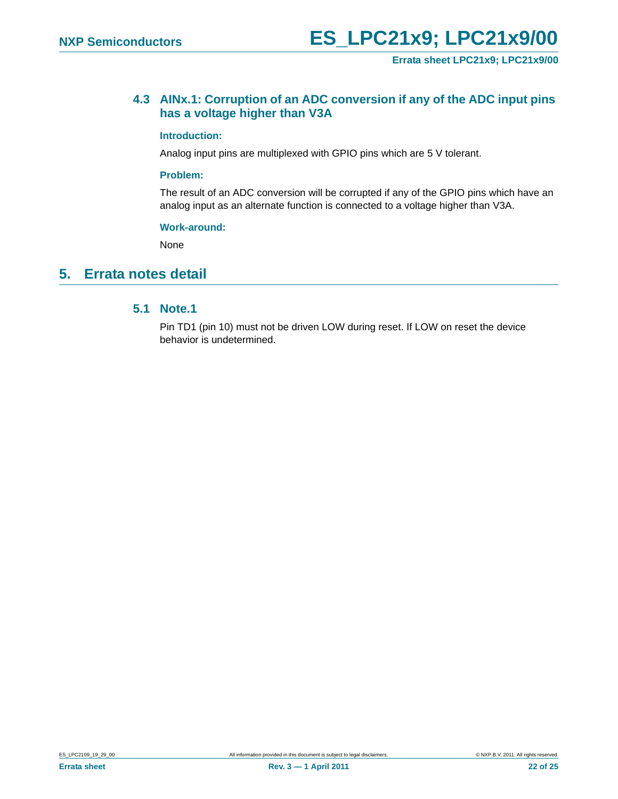## <span id="page-21-1"></span>**4.3 AINx.1: Corruption of an ADC conversion if any of the ADC input pins has a voltage higher than V3A**

#### <span id="page-21-2"></span>**Introduction:**

Analog input pins are multiplexed with GPIO pins which are 5 V tolerant.

#### <span id="page-21-3"></span>**Problem:**

The result of an ADC conversion will be corrupted if any of the GPIO pins which have an analog input as an alternate function is connected to a voltage higher than V3A.

#### <span id="page-21-4"></span>**Work-around:**

None

## <span id="page-21-5"></span><span id="page-21-0"></span>**5. Errata notes detail**

### **5.1 Note.1**

Pin TD1 (pin 10) must not be driven LOW during reset. If LOW on reset the device behavior is undetermined.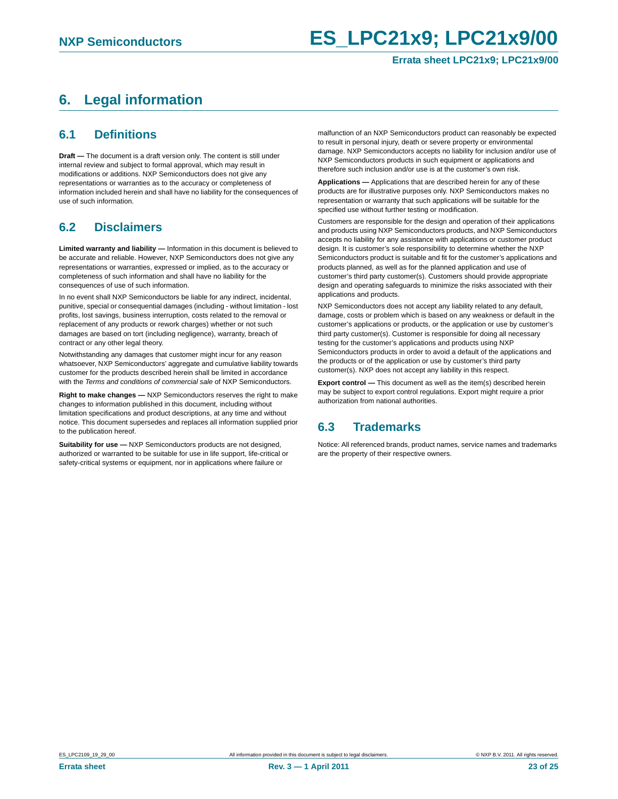#### **Errata sheet LPC21x9; LPC21x9/00**

# <span id="page-22-0"></span>**6. Legal information**

## <span id="page-22-1"></span>**6.1 Definitions**

**Draft —** The document is a draft version only. The content is still under internal review and subject to formal approval, which may result in modifications or additions. NXP Semiconductors does not give any representations or warranties as to the accuracy or completeness of information included herein and shall have no liability for the consequences of use of such information.

## <span id="page-22-2"></span>**6.2 Disclaimers**

**Limited warranty and liability —** Information in this document is believed to be accurate and reliable. However, NXP Semiconductors does not give any representations or warranties, expressed or implied, as to the accuracy or completeness of such information and shall have no liability for the consequences of use of such information.

In no event shall NXP Semiconductors be liable for any indirect, incidental, punitive, special or consequential damages (including - without limitation - lost profits, lost savings, business interruption, costs related to the removal or replacement of any products or rework charges) whether or not such damages are based on tort (including negligence), warranty, breach of contract or any other legal theory.

Notwithstanding any damages that customer might incur for any reason whatsoever, NXP Semiconductors' aggregate and cumulative liability towards customer for the products described herein shall be limited in accordance with the *Terms and conditions of commercial sale* of NXP Semiconductors.

**Right to make changes —** NXP Semiconductors reserves the right to make changes to information published in this document, including without limitation specifications and product descriptions, at any time and without notice. This document supersedes and replaces all information supplied prior to the publication hereof.

**Suitability for use —** NXP Semiconductors products are not designed, authorized or warranted to be suitable for use in life support, life-critical or safety-critical systems or equipment, nor in applications where failure or

malfunction of an NXP Semiconductors product can reasonably be expected to result in personal injury, death or severe property or environmental damage. NXP Semiconductors accepts no liability for inclusion and/or use of NXP Semiconductors products in such equipment or applications and therefore such inclusion and/or use is at the customer's own risk.

**Applications —** Applications that are described herein for any of these products are for illustrative purposes only. NXP Semiconductors makes no representation or warranty that such applications will be suitable for the specified use without further testing or modification.

Customers are responsible for the design and operation of their applications and products using NXP Semiconductors products, and NXP Semiconductors accepts no liability for any assistance with applications or customer product design. It is customer's sole responsibility to determine whether the NXP Semiconductors product is suitable and fit for the customer's applications and products planned, as well as for the planned application and use of customer's third party customer(s). Customers should provide appropriate design and operating safeguards to minimize the risks associated with their applications and products.

NXP Semiconductors does not accept any liability related to any default, damage, costs or problem which is based on any weakness or default in the customer's applications or products, or the application or use by customer's third party customer(s). Customer is responsible for doing all necessary testing for the customer's applications and products using NXP Semiconductors products in order to avoid a default of the applications and the products or of the application or use by customer's third party customer(s). NXP does not accept any liability in this respect.

**Export control —** This document as well as the item(s) described herein may be subject to export control regulations. Export might require a prior authorization from national authorities.

## <span id="page-22-3"></span>**6.3 Trademarks**

Notice: All referenced brands, product names, service names and trademarks are the property of their respective owners.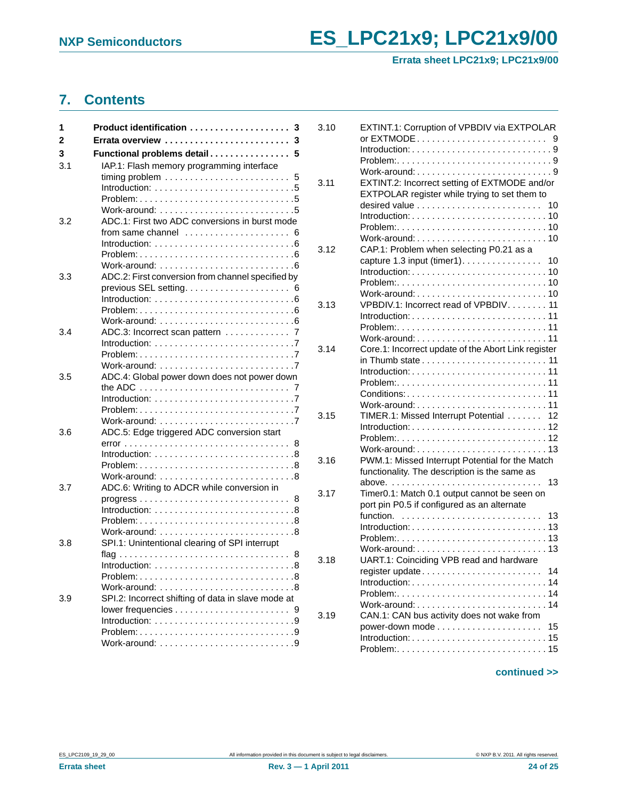**Errata sheet LPC21x9; LPC21x9/00**

# <span id="page-23-0"></span>**7. Contents**

| 1   | Product identification<br>3                                                       |
|-----|-----------------------------------------------------------------------------------|
| 2   | 3                                                                                 |
| 3   | Functional problems detail<br>5                                                   |
| 3.1 | IAP.1: Flash memory programming interface                                         |
|     | 5                                                                                 |
|     | Introduction: $\ldots \ldots \ldots \ldots \ldots \ldots \ldots \ldots$           |
|     | Work-around: $\ldots \ldots \ldots \ldots \ldots \ldots \ldots \ldots 5$          |
| 3.2 | ADC.1: First two ADC conversions in burst mode                                    |
|     | from same channel $\ldots, \ldots, \ldots, \ldots, \ldots$<br>6                   |
|     | Introduction: $\ldots \ldots \ldots \ldots \ldots \ldots \ldots \ldots \ldots 6$  |
|     |                                                                                   |
|     |                                                                                   |
| 3.3 | ADC.2: First conversion from channel specified by                                 |
|     | 6                                                                                 |
|     |                                                                                   |
|     |                                                                                   |
| 3.4 | ADC.3: Incorrect scan pattern<br>7                                                |
|     |                                                                                   |
|     |                                                                                   |
|     |                                                                                   |
| 3.5 | ADC.4: Global power down does not power down                                      |
|     | the ADC $\ldots \ldots \ldots \ldots \ldots \ldots \ldots \ldots \ldots$          |
|     | Introduction: $\ldots \ldots \ldots \ldots \ldots \ldots \ldots \ldots$           |
|     | Work-around: $\ldots \ldots \ldots \ldots \ldots \ldots \ldots \ldots$            |
| 3.6 | ADC.5: Edge triggered ADC conversion start                                        |
|     | 8                                                                                 |
|     |                                                                                   |
|     |                                                                                   |
|     |                                                                                   |
| 3.7 | ADC.6: Writing to ADCR while conversion in                                        |
|     | $progress \dots \dots \dots \dots \dots \dots \dots \dots \dots \dots \dots$<br>8 |
|     | $Introduction:$                                                                   |
|     |                                                                                   |
| 3.8 | SPI.1: Unintentional clearing of SPI interrupt                                    |
|     | 8                                                                                 |
|     |                                                                                   |
|     |                                                                                   |
|     |                                                                                   |
| 3.9 | SPI.2: Incorrect shifting of data in slave mode at                                |
|     |                                                                                   |
|     | Introduction: $\ldots \ldots \ldots \ldots \ldots \ldots \ldots$                  |
|     | Work-around: $\ldots \ldots \ldots \ldots \ldots \ldots \ldots$                   |
|     |                                                                                   |

| 3.10 | EXTINT.1: Corruption of VPBDIV via EXTPOLAR<br>9                                         |
|------|------------------------------------------------------------------------------------------|
|      |                                                                                          |
|      |                                                                                          |
|      |                                                                                          |
| 3.11 | EXTINT.2: Incorrect setting of EXTMODE and/or                                            |
|      | EXTPOLAR register while trying to set them to                                            |
|      | desired value $\ldots \ldots \ldots \ldots \ldots \ldots \ldots$<br>10                   |
|      | $Introduction: 10$                                                                       |
|      |                                                                                          |
| 3.12 | CAP.1: Problem when selecting P0.21 as a                                                 |
|      | capture 1.3 input (timer1).<br>10                                                        |
|      | $Introduction: 10$                                                                       |
|      |                                                                                          |
|      |                                                                                          |
| 3.13 | VPBDIV.1: Incorrect read of VPBDIV. 11                                                   |
|      |                                                                                          |
|      |                                                                                          |
|      |                                                                                          |
| 3.14 | Core.1: Incorrect update of the Abort Link register                                      |
|      | in Thumb state $\ldots \ldots \ldots \ldots \ldots \ldots \ldots$<br>11                  |
|      | $Introduction: 11$                                                                       |
|      |                                                                                          |
|      |                                                                                          |
|      |                                                                                          |
| 3.15 | TIMER.1: Missed Interrupt Potential<br>12<br>$Introduction: 12$                          |
|      |                                                                                          |
|      |                                                                                          |
| 3.16 | PWM.1: Missed Interrupt Potential for the Match                                          |
|      | functionality. The description is the same as                                            |
|      | above.<br>13                                                                             |
| 3.17 | Timer0.1: Match 0.1 output cannot be seen on                                             |
|      | port pin P0.5 if configured as an alternate                                              |
|      | function.<br>13                                                                          |
|      |                                                                                          |
|      |                                                                                          |
|      | Work-around: $\ldots$ , $\ldots$ , $\ldots$ , $\ldots$ , $\ldots$ , $\ldots$ , $\ldots$  |
| 3.18 | UART.1: Coinciding VPB read and hardware                                                 |
|      | register update<br>14                                                                    |
|      | $Introduction: 14$<br>$Problem: \ldots \ldots \ldots \ldots \ldots \ldots \ldots \ldots$ |
|      |                                                                                          |
| 3.19 | CAN.1: CAN bus activity does not wake from                                               |
|      | 15                                                                                       |
|      | $Introduction: \ldots \ldots \ldots \ldots \ldots \ldots \ldots \ldots \ldots 15$        |
|      |                                                                                          |
|      |                                                                                          |

## **continued >>**